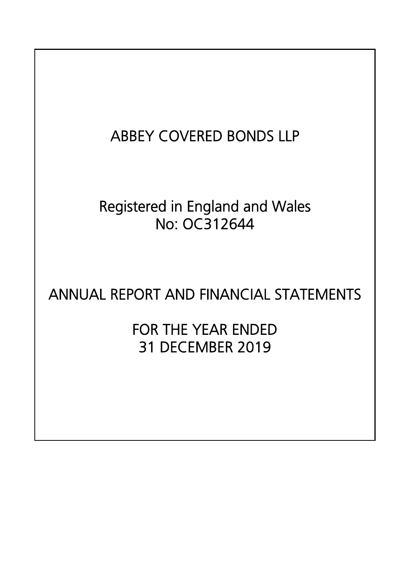# ABBEY COVERED BONDS LLP

# Registered in England and Wales No: OC312644

# ANNUAL REPORT AND FINANCIAL STATEMENTS

FOR THE YEAR ENDED 31 DECEMBER 2019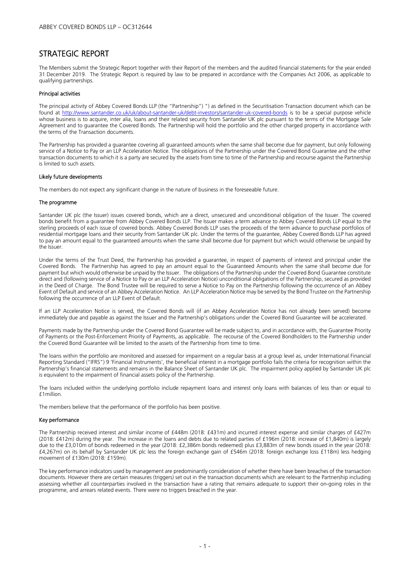### STRATEGIC REPORT

The Members submit the Strategic Report together with their Report of the members and the audited financial statements for the year ended 31 December 2019. The Strategic Report is required by law to be prepared in accordance with the Companies Act 2006, as applicable to qualifying partnerships.

#### Principal activities

The principal activity of Abbey Covered Bonds LLP (the "Partnership") ") as defined in the Securitisation Transaction document which can be found at <u>http://www.santander.co.uk/uk/about-santander-uk/debt-investors/santander-uk-covered-bonds</u> is to be a special purpose vehicle whose business is to acquire, inter alia, loans and their related security from Santander UK plc pursuant to the terms of the Mortgage Sale Agreement and to guarantee the Covered Bonds. The Partnership will hold the portfolio and the other charged property in accordance with the terms of the Transaction documents.

The Partnership has provided a guarantee covering all guaranteed amounts when the same shall become due for payment, but only following service of a Notice to Pay or an LLP Acceleration Notice. The obligations of the Partnership under the Covered Bond Guarantee and the other transaction documents to which it is a party are secured by the assets from time to time of the Partnership and recourse against the Partnership is limited to such assets.

#### Likely future developments

The members do not expect any significant change in the nature of business in the foreseeable future.

#### The programme

Santander UK plc (the Issuer) issues covered bonds, which are a direct, unsecured and unconditional obligation of the Issuer. The covered bonds benefit from a guarantee from Abbey Covered Bonds LLP. The Issuer makes a term advance to Abbey Covered Bonds LLP equal to the sterling proceeds of each issue of covered bonds. Abbey Covered Bonds LLP uses the proceeds of the term advance to purchase portfolios of residential mortgage loans and their security from Santander UK plc. Under the terms of the guarantee, Abbey Covered Bonds LLP has agreed to pay an amount equal to the guaranteed amounts when the same shall become due for payment but which would otherwise be unpaid by the Issuer.

Under the terms of the Trust Deed, the Partnership has provided a guarantee, in respect of payments of interest and principal under the Covered Bonds. The Partnership has agreed to pay an amount equal to the Guaranteed Amounts when the same shall become due for payment but which would otherwise be unpaid by the Issuer. The obligations of the Partnership under the Covered Bond Guarantee constitute direct and (following service of a Notice to Pay or an LLP Acceleration Notice) unconditional obligations of the Partnership, secured as provided in the Deed of Charge. The Bond Trustee will be required to serve a Notice to Pay on the Partnership following the occurrence of an Abbey Event of Default and service of an Abbey Acceleration Notice. An LLP Acceleration Notice may be served by the Bond Trustee on the Partnership following the occurrence of an LLP Event of Default.

If an LLP Acceleration Notice is served, the Covered Bonds will (if an Abbey Acceleration Notice has not already been served) become immediately due and payable as against the Issuer and the Partnership's obligations under the Covered Bond Guarantee will be accelerated.

Payments made by the Partnership under the Covered Bond Guarantee will be made subject to, and in accordance with, the Guarantee Priority of Payments or the Post-Enforcement Priority of Payments, as applicable. The recourse of the Covered Bondholders to the Partnership under the Covered Bond Guarantee will be limited to the assets of the Partnership from time to time.

The loans within the portfolio are monitored and assessed for impairment on a regular basis at a group level as, under International Financial Reporting Standard ("IFRS") 9 'Financial Instruments', the beneficial interest in a mortgage portfolio fails the criteria for recognition within the Partnership's financial statements and remains in the Balance Sheet of Santander UK plc. The impairment policy applied by Santander UK plc is equivalent to the impairment of financial assets policy of the Partnership.

The loans included within the underlying portfolio include repayment loans and interest only loans with balances of less than or equal to £1million.

The members believe that the performance of the portfolio has been positive.

#### Key performance

The Partnership received interest and similar income of £448m (2018: £431m) and incurred interest expense and similar charges of £427m (2018: £412m) during the year. The increase in the loans and debts due to related parties of £196m (2018: increase of £1,840m) is largely due to the £3,010m of bonds redeemed in the year (2018: £2,386m bonds redeemed) plus £3,883m of new bonds issued in the year (2018: £4,267m) on its behalf by Santander UK plc less the foreign exchange gain of £546m (2018: foreign exchange loss £118m) less hedging movement of £130m (2018: £159m).

The key performance indicators used by management are predominantly consideration of whether there have been breaches of the transaction documents. However there are certain measures (triggers) set out in the transaction documents which are relevant to the Partnership including assessing whether all counterparties involved in the transaction have a rating that remains adequate to support their on-going roles in the programme, and arrears related events. There were no triggers breached in the year.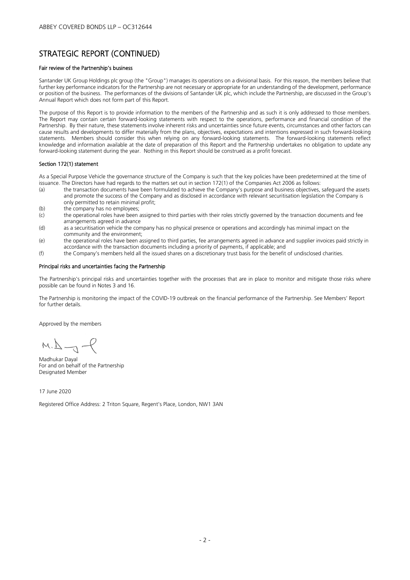### STRATEGIC REPORT (CONTINUED)

#### Fair review of the Partnership's business

Santander UK Group Holdings plc group (the "Group") manages its operations on a divisional basis. For this reason, the members believe that further key performance indicators for the Partnership are not necessary or appropriate for an understanding of the development, performance or position of the business. The performances of the divisions of Santander UK plc, which include the Partnership, are discussed in the Group's Annual Report which does not form part of this Report.

The purpose of this Report is to provide information to the members of the Partnership and as such it is only addressed to those members. The Report may contain certain forward-looking statements with respect to the operations, performance and financial condition of the Partnership. By their nature, these statements involve inherent risks and uncertainties since future events, circumstances and other factors can cause results and developments to differ materially from the plans, objectives, expectations and intentions expressed in such forward-looking statements. Members should consider this when relying on any forward-looking statements. The forward-looking statements reflect knowledge and information available at the date of preparation of this Report and the Partnership undertakes no obligation to update any forward-looking statement during the year. Nothing in this Report should be construed as a profit forecast.

#### Section 172(1) statement

As a Special Purpose Vehicle the governance structure of the Company is such that the key policies have been predetermined at the time of issuance. The Directors have had regards to the matters set out in section 172(1) of the Companies Act 2006 as follows:

- (a) the transaction documents have been formulated to achieve the Company's purpose and business objectives, safeguard the assets and promote the success of the Company and as disclosed in accordance with relevant securitisation legislation the Company is only permitted to retain minimal profit;
- (b) the company has no employees;<br>(c) the operational roles have been
- the operational roles have been assigned to third parties with their roles strictly governed by the transaction documents and fee arrangements agreed in advance
- (d) as a securitisation vehicle the company has no physical presence or operations and accordingly has minimal impact on the community and the environment;
- (e) the operational roles have been assigned to third parties, fee arrangements agreed in advance and supplier invoices paid strictly in accordance with the transaction documents including a priority of payments, if applicable; and
- (f) the Company's members held all the issued shares on a discretionary trust basis for the benefit of undisclosed charities.

#### Principal risks and uncertainties facing the Partnership

The Partnership's principal risks and uncertainties together with the processes that are in place to monitor and mitigate those risks where possible can be found in Notes 3 and 16.

The Partnership is monitoring the impact of the COVID-19 outbreak on the financial performance of the Partnership. See Members' Report for further details.

Approved by the members

 $M.L \rightarrow P$ 

Madhukar Dayal For and on behalf of the Partnership Designated Member

17 June 2020

Registered Office Address: 2 Triton Square, Regent's Place, London, NW1 3AN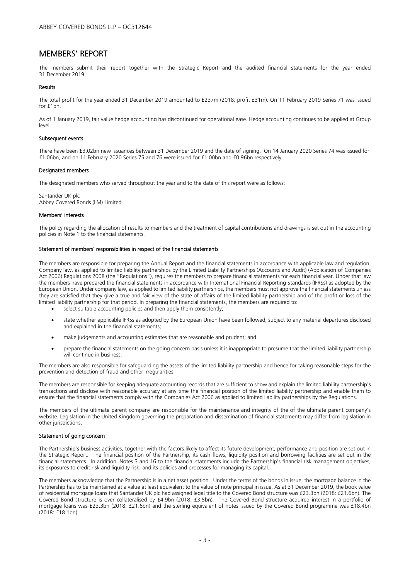#### MEMBERS' REPORT

The members submit their report together with the Strategic Report and the audited financial statements for the year ended 31 December 2019.

#### Results

The total profit for the year ended 31 December 2019 amounted to £237m (2018: profit £31m). On 11 February 2019 Series 71 was issued for  $f1bn$ 

As of 1 January 2019, fair value hedge accounting has discontinued for operational ease. Hedge accounting continues to be applied at Group level.

#### Subsequent events

There have been £3.02bn new issuances between 31 December 2019 and the date of signing. On 14 January 2020 Series 74 was issued for £1.06bn, and on 11 February 2020 Series 75 and 76 were issued for £1.00bn and £0.96bn respectively.

#### Designated members

The designated members who served throughout the year and to the date of this report were as follows:

Santander UK plc Abbey Covered Bonds (LM) Limited

#### Members' interests

The policy regarding the allocation of results to members and the treatment of capital contributions and drawings is set out in the accounting policies in Note 1 to the financial statements.

#### Statement of members' responsibilities in respect of the financial statements

The members are responsible for preparing the Annual Report and the financial statements in accordance with applicable law and regulation. Company law, as applied to limited liability partnerships by the Limited Liability Partnerships (Accounts and Audit) (Application of Companies Act 2006) Regulations 2008 (the "Regulations"), requires the members to prepare financial statements for each financial year. Under that law the members have prepared the financial statements in accordance with International Financial Reporting Standards (IFRSs) as adopted by the European Union. Under company law, as applied to limited liability partnerships, the members must not approve the financial statements unless they are satisfied that they give a true and fair view of the state of affairs of the limited liability partnership and of the profit or loss of the limited liability partnership for that period. In preparing the financial statements, the members are required to:

- select suitable accounting policies and then apply them consistently;
- state whether applicable IFRSs as adopted by the European Union have been followed, subject to any material departures disclosed and explained in the financial statements;
- make judgements and accounting estimates that are reasonable and prudent; and
- prepare the financial statements on the going concern basis unless it is inappropriate to presume that the limited liability partnership will continue in business.

The members are also responsible for safeguarding the assets of the limited liability partnership and hence for taking reasonable steps for the prevention and detection of fraud and other irregularities.

The members are responsible for keeping adequate accounting records that are sufficient to show and explain the limited liability partnership's transactions and disclose with reasonable accuracy at any time the financial position of the limited liability partnership and enable them to ensure that the financial statements comply with the Companies Act 2006 as applied to limited liability partnerships by the Regulations.

The members of the ultimate parent company are responsible for the maintenance and integrity of the of the ultimate parent company's website. Legislation in the United Kingdom governing the preparation and dissemination of financial statements may differ from legislation in other jurisdictions.

#### Statement of going concern

The Partnership's business activities, together with the factors likely to affect its future development, performance and position are set out in the Strategic Report. The financial position of the Partnership, its cash flows, liquidity position and borrowing facilities are set out in the financial statements. In addition, Notes 3 and 16 to the financial statements include the Partnership's financial risk management objectives; its exposures to credit risk and liquidity risk; and its policies and processes for managing its capital.

The members acknowledge that the Partnership is in a net asset position. Under the terms of the bonds in issue, the mortgage balance in the Partnership has to be maintained at a value at least equivalent to the value of note principal in issue. As at 31 December 2019, the book value of residential mortgage loans that Santander UK plc had assigned legal title to the Covered Bond structure was £23.3bn (2018: £21.6bn). The Covered Bond structure is over collateralised by £4.9bn (2018: £3.5bn). The Covered Bond structure acquired interest in a portfolio of mortgage loans was £23.3bn (2018: £21.6bn) and the sterling equivalent of notes issued by the Covered Bond programme was £18.4bn (2018: £18.1bn).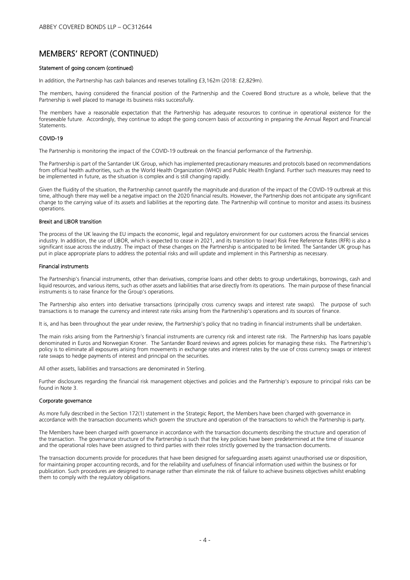### MEMBERS' REPORT (CONTINUED)

#### Statement of going concern (continued)

In addition, the Partnership has cash balances and reserves totalling £3,162m (2018: £2,829m).

The members, having considered the financial position of the Partnership and the Covered Bond structure as a whole, believe that the Partnership is well placed to manage its business risks successfully.

The members have a reasonable expectation that the Partnership has adequate resources to continue in operational existence for the foreseeable future. Accordingly, they continue to adopt the going concern basis of accounting in preparing the Annual Report and Financial Statements.

#### COVID-19

The Partnership is monitoring the impact of the COVID-19 outbreak on the financial performance of the Partnership.

The Partnership is part of the Santander UK Group, which has implemented precautionary measures and protocols based on recommendations from official health authorities, such as the World Health Organization (WHO) and Public Health England. Further such measures may need to be implemented in future, as the situation is complex and is still changing rapidly.

Given the fluidity of the situation, the Partnership cannot quantify the magnitude and duration of the impact of the COVID-19 outbreak at this time, although there may well be a negative impact on the 2020 financial results. However, the Partnership does not anticipate any significant change to the carrying value of its assets and liabilities at the reporting date. The Partnership will continue to monitor and assess its business operations.

#### Brexit and LIBOR transition

The process of the UK leaving the EU impacts the economic, legal and regulatory environment for our customers across the financial services industry. In addition, the use of LIBOR, which is expected to cease in 2021, and its transition to (near) Risk Free Reference Rates (RFR) is also a significant issue across the industry. The impact of these changes on the Partnership is anticipated to be limited. The Santander UK group has put in place appropriate plans to address the potential risks and will update and implement in this Partnership as necessary.

#### Financial instruments

The Partnership's financial instruments, other than derivatives, comprise loans and other debts to group undertakings, borrowings, cash and liquid resources, and various items, such as other assets and liabilities that arise directly from its operations. The main purpose of these financial instruments is to raise finance for the Group's operations.

The Partnership also enters into derivative transactions (principally cross currency swaps and interest rate swaps). The purpose of such transactions is to manage the currency and interest rate risks arising from the Partnership's operations and its sources of finance.

It is, and has been throughout the year under review, the Partnership's policy that no trading in financial instruments shall be undertaken.

The main risks arising from the Partnership's financial instruments are currency risk and interest rate risk. The Partnership has loans payable denominated in Euros and Norwegian Kroner. The Santander Board reviews and agrees policies for managing these risks. The Partnership's policy is to eliminate all exposures arising from movements in exchange rates and interest rates by the use of cross currency swaps or interest rate swaps to hedge payments of interest and principal on the securities.

All other assets, liabilities and transactions are denominated in Sterling.

Further disclosures regarding the financial risk management objectives and policies and the Partnership's exposure to principal risks can be found in Note 3.

#### Corporate governance

As more fully described in the Section 172(1) statement in the Strategic Report, the Members have been charged with governance in accordance with the transaction documents which govern the structure and operation of the transactions to which the Partnership is party.

The Members have been charged with governance in accordance with the transaction documents describing the structure and operation of the transaction. The governance structure of the Partnership is such that the key policies have been predetermined at the time of issuance and the operational roles have been assigned to third parties with their roles strictly governed by the transaction documents.

The transaction documents provide for procedures that have been designed for safeguarding assets against unauthorised use or disposition, for maintaining proper accounting records, and for the reliability and usefulness of financial information used within the business or for publication. Such procedures are designed to manage rather than eliminate the risk of failure to achieve business objectives whilst enabling them to comply with the regulatory obligations.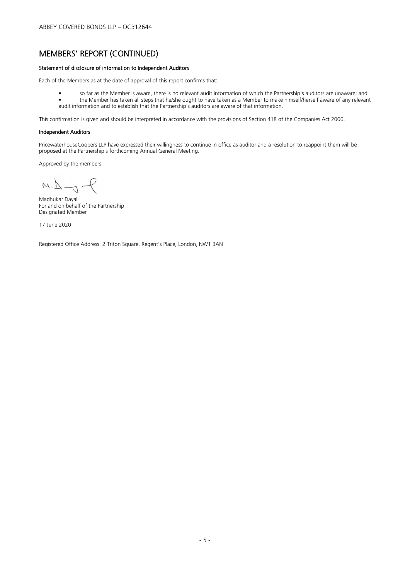### MEMBERS' REPORT (CONTINUED)

#### Statement of disclosure of information to Independent Auditors

Each of the Members as at the date of approval of this report confirms that:

• so far as the Member is aware, there is no relevant audit information of which the Partnership's auditors are unaware; and • the Member has taken all steps that he/she ought to have taken as a Member to make himself/herself aware of any relevant audit information and to establish that the Partnership's auditors are aware of that information.

This confirmation is given and should be interpreted in accordance with the provisions of Section 418 of the Companies Act 2006.

#### Independent Auditors

PricewaterhouseCoopers LLP have expressed their willingness to continue in office as auditor and a resolution to reappoint them will be proposed at the Partnership's forthcoming Annual General Meeting.

Approved by the members

 $M.L \rightarrow P$ 

Madhukar Dayal For and on behalf of the Partnership Designated Member

17 June 2020

Registered Office Address: 2 Triton Square, Regent's Place, London, NW1 3AN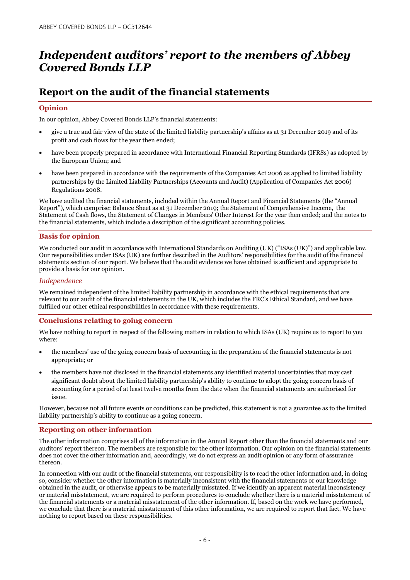# *Independent auditors' report to the members of Abbey Covered Bonds LLP*

### **Report on the audit of the financial statements**

#### **Opinion**

In our opinion, Abbey Covered Bonds LLP's financial statements:

- give a true and fair view of the state of the limited liability partnership's affairs as at 31 December 2019 and of its profit and cash flows for the year then ended;
- have been properly prepared in accordance with International Financial Reporting Standards (IFRSs) as adopted by the European Union; and
- have been prepared in accordance with the requirements of the Companies Act 2006 as applied to limited liability partnerships by the Limited Liability Partnerships (Accounts and Audit) (Application of Companies Act 2006) Regulations 2008.

We have audited the financial statements, included within the Annual Report and Financial Statements (the "Annual Report"), which comprise: Balance Sheet as at 31 December 2019; the Statement of Comprehensive Income, the Statement of Cash flows, the Statement of Changes in Members' Other Interest for the year then ended; and the notes to the financial statements, which include a description of the significant accounting policies.

#### **Basis for opinion**

We conducted our audit in accordance with International Standards on Auditing (UK) ("ISAs (UK)") and applicable law. Our responsibilities under ISAs (UK) are further described in the Auditors' responsibilities for the audit of the financial statements section of our report. We believe that the audit evidence we have obtained is sufficient and appropriate to provide a basis for our opinion.

#### *Independence*

We remained independent of the limited liability partnership in accordance with the ethical requirements that are relevant to our audit of the financial statements in the UK, which includes the FRC's Ethical Standard, and we have fulfilled our other ethical responsibilities in accordance with these requirements.

#### **Conclusions relating to going concern**

We have nothing to report in respect of the following matters in relation to which ISAs (UK) require us to report to you where:

- the members' use of the going concern basis of accounting in the preparation of the financial statements is not appropriate; or
- the members have not disclosed in the financial statements any identified material uncertainties that may cast significant doubt about the limited liability partnership's ability to continue to adopt the going concern basis of accounting for a period of at least twelve months from the date when the financial statements are authorised for issue.

However, because not all future events or conditions can be predicted, this statement is not a guarantee as to the limited liability partnership's ability to continue as a going concern.

#### **Reporting on other information**

The other information comprises all of the information in the Annual Report other than the financial statements and our auditors' report thereon. The members are responsible for the other information. Our opinion on the financial statements does not cover the other information and, accordingly, we do not express an audit opinion or any form of assurance thereon.

In connection with our audit of the financial statements, our responsibility is to read the other information and, in doing so, consider whether the other information is materially inconsistent with the financial statements or our knowledge obtained in the audit, or otherwise appears to be materially misstated. If we identify an apparent material inconsistency or material misstatement, we are required to perform procedures to conclude whether there is a material misstatement of the financial statements or a material misstatement of the other information. If, based on the work we have performed, we conclude that there is a material misstatement of this other information, we are required to report that fact. We have nothing to report based on these responsibilities.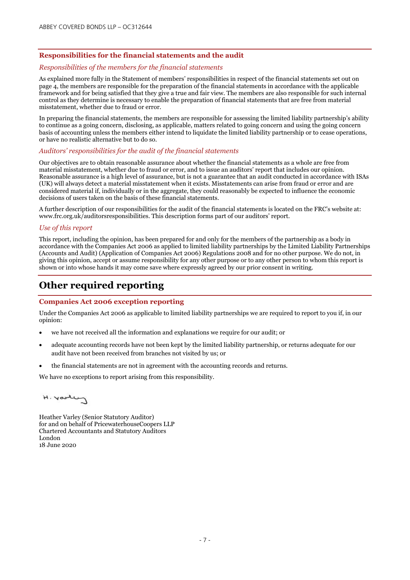#### **Responsibilities for the financial statements and the audit**

#### *Responsibilities of the members for the financial statements*

As explained more fully in the Statement of members' responsibilities in respect of the financial statements set out on page 4, the members are responsible for the preparation of the financial statements in accordance with the applicable framework and for being satisfied that they give a true and fair view. The members are also responsible for such internal control as they determine is necessary to enable the preparation of financial statements that are free from material misstatement, whether due to fraud or error.

In preparing the financial statements, the members are responsible for assessing the limited liability partnership's ability to continue as a going concern, disclosing, as applicable, matters related to going concern and using the going concern basis of accounting unless the members either intend to liquidate the limited liability partnership or to cease operations, or have no realistic alternative but to do so.

#### *Auditors' responsibilities for the audit of the financial statements*

Our objectives are to obtain reasonable assurance about whether the financial statements as a whole are free from material misstatement, whether due to fraud or error, and to issue an auditors' report that includes our opinion. Reasonable assurance is a high level of assurance, but is not a guarantee that an audit conducted in accordance with ISAs (UK) will always detect a material misstatement when it exists. Misstatements can arise from fraud or error and are considered material if, individually or in the aggregate, they could reasonably be expected to influence the economic decisions of users taken on the basis of these financial statements.

A further description of our responsibilities for the audit of the financial statements is located on the FRC's website at: www.frc.org.uk/auditorsresponsibilities. This description forms part of our auditors' report.

#### *Use of this report*

This report, including the opinion, has been prepared for and only for the members of the partnership as a body in accordance with the Companies Act 2006 as applied to limited liability partnerships by the Limited Liability Partnerships (Accounts and Audit) (Application of Companies Act 2006) Regulations 2008 and for no other purpose. We do not, in giving this opinion, accept or assume responsibility for any other purpose or to any other person to whom this report is shown or into whose hands it may come save where expressly agreed by our prior consent in writing.

### **Other required reporting**

#### **Companies Act 2006 exception reporting**

Under the Companies Act 2006 as applicable to limited liability partnerships we are required to report to you if, in our opinion:

- we have not received all the information and explanations we require for our audit; or
- adequate accounting records have not been kept by the limited liability partnership, or returns adequate for our audit have not been received from branches not visited by us; or
- the financial statements are not in agreement with the accounting records and returns.

We have no exceptions to report arising from this responsibility.

$$
\mathcal{L}^{\omega\text{-loop}}\cdot H
$$

Heather Varley (Senior Statutory Auditor) for and on behalf of PricewaterhouseCoopers LLP Chartered Accountants and Statutory Auditors London 18 June 2020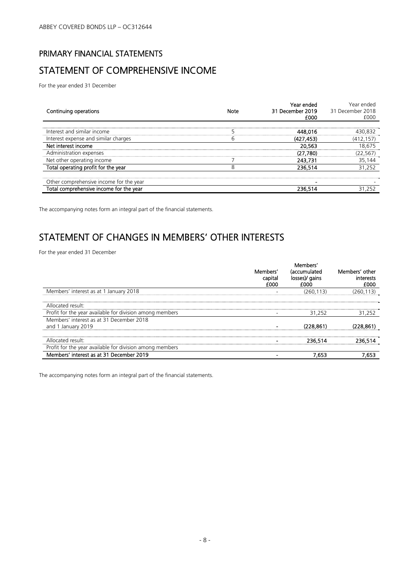# PRIMARY FINANCIAL STATEMENTS STATEMENT OF COMPREHENSIVE INCOME

For the year ended 31 December

| Continuing operations                   | Note | Year ended<br>31 December 2019<br>£000 | Year ended<br>31 December 2018<br>£000 |
|-----------------------------------------|------|----------------------------------------|----------------------------------------|
| Interest and similar income             |      | 448.016                                | 430,832                                |
| Interest expense and similar charges    | b    | (427.453)                              | (412.157)                              |
| Net interest income                     |      | 20.563                                 | 18.675                                 |
| Administration expenses                 |      | (27,780)                               | (22, 567)                              |
| Net other operating income              |      | 243,731                                | 35,144                                 |
| Total operating profit for the year     | ◠    | 236.514                                | 31.252                                 |
| Other comprehensive income for the year |      |                                        |                                        |
| Total comprehensive income for the year |      | 236.514                                | 31 252                                 |

The accompanying notes form an integral part of the financial statements.

### STATEMENT OF CHANGES IN MEMBERS' OTHER INTERESTS

For the year ended 31 December

|                                                          |                             | Members'                               |                                     |
|----------------------------------------------------------|-----------------------------|----------------------------------------|-------------------------------------|
|                                                          | Members'<br>capital<br>£000 | (accumulated<br>losses)/ gains<br>f000 | Members' other<br>interests<br>£000 |
| Members' interest as at 1 January 2018                   |                             | (260, 113)                             | .113)                               |
| Allocated result:                                        |                             |                                        |                                     |
| Profit for the year available for division among members |                             | 31.252                                 | 31,252                              |
| Members' interest as at 31 December 2018                 |                             |                                        |                                     |
| and 1 January 2019                                       |                             | (228.861)                              | (228.861)                           |
| Allocated result:                                        |                             | 236.514                                |                                     |
| Profit for the year available for division among members |                             |                                        |                                     |
| Members' interest as at 31 December 2019                 |                             | .653                                   |                                     |

The accompanying notes form an integral part of the financial statements.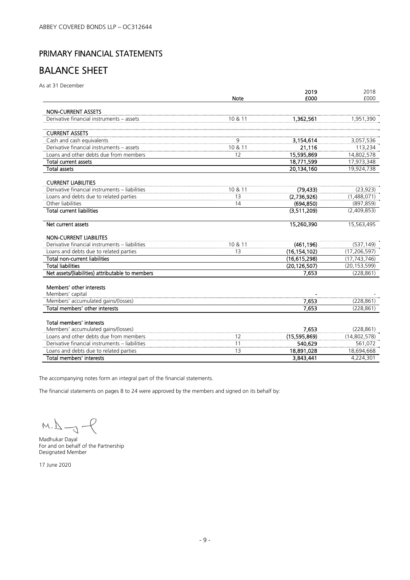### PRIMARY FINANCIAL STATEMENTS

## BALANCE SHEET

As at 31 December

|                                                  | <b>Note</b> | 2019<br>£000   | 2018<br>£000   |
|--------------------------------------------------|-------------|----------------|----------------|
| <b>NON-CURRENT ASSETS</b>                        |             |                |                |
| Derivative financial instruments - assets        | 10 & 11     | 1,362,561      | 1,951,390      |
| <b>CURRENT ASSETS</b>                            |             |                |                |
| Cash and cash equivalents                        | 9           | 3,154,614      | 3,057,536      |
| Derivative financial instruments - assets        | 10 & 11     | 21.116         | 113,234        |
| Loans and other debts due from members           | 12          | 15,595,869     | 14,802,578     |
| <b>Total current assets</b>                      |             | 18,771,599     | 17,973,348     |
| <b>Total assets</b>                              |             | 20.134.160     | 19,924,738     |
| <b>CURRENT LIABILITIES</b>                       |             |                |                |
| Derivative financial instruments - liabilities   | 10 & 11     | (79, 433)      | (23, 923)      |
| Loans and debts due to related parties           | 13          | (2,736,926)    | (1,488,071)    |
| Other liabilities                                | 14          | (694.850)      | (897, 859)     |
| <b>Total current liabilities</b>                 |             | (3,511,209)    | (2,409,853)    |
| Net current assets                               |             | 15,260,390     | 15,563,495     |
| <b>NON-CURRENT LIABILITES</b>                    |             |                |                |
| Derivative financial instruments - liabilities   | 10 & 11     | (461, 196)     | (537, 149)     |
| Loans and debts due to related parties           | 13          | (16, 154, 102) | (17, 206, 597) |
| <b>Total non-current liabilities</b>             |             | (16,615,298)   | (17, 743, 746) |
| <b>Total liabilities</b>                         |             | (20, 126, 507) | (20, 153, 599) |
| Net assets/(liabilities) attributable to members |             | 7.653          | (228, 861)     |
| Members' other interests                         |             |                |                |
| Members' capital                                 |             |                |                |
| Members' accumulated gains/(losses)              |             | 7,653          | (228, 861)     |
| Total members' other interests                   |             | 7.653          | (228, 861)     |
| Total members' interests                         |             |                |                |
| Members' accumulated gains/(losses)              |             | 7.653          | (228, 861)     |
| Loans and other debts due from members           | 12          | (15,595,869)   | (14,802,578)   |
| Derivative financial instruments - liabilities   | 11          | 540.629        | 561,072        |
| Loans and debts due to related parties           | 13          | 18,891,028     | 18,694,668     |
| Total members' interests                         |             | 3,843,441      | 4,224,301      |

The accompanying notes form an integral part of the financial statements.

The financial statements on pages 8 to 24 were approved by the members and signed on its behalf by:

 $M.L \rightarrow P$ 

Madhukar Dayal For and on behalf of the Partnership Designated Member

17 June 2020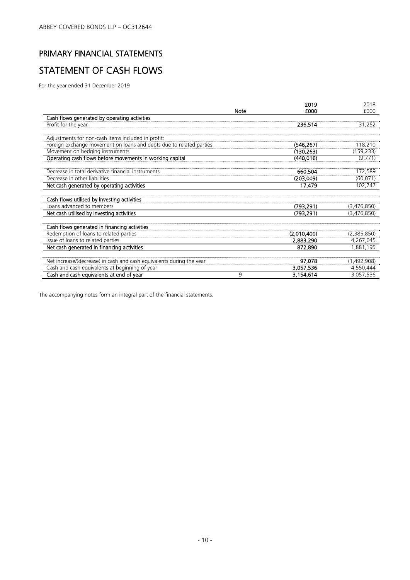# PRIMARY FINANCIAL STATEMENTS STATEMENT OF CASH FLOWS

For the year ended 31 December 2019

|                                                                      |             | 2019        | 2018        |
|----------------------------------------------------------------------|-------------|-------------|-------------|
|                                                                      | <b>Note</b> | £000        | £000        |
| Cash flows generated by operating activities                         |             |             |             |
| Profit for the year                                                  |             | 236,514     | 31,252      |
|                                                                      |             |             |             |
| Adjustments for non-cash items included in profit:                   |             |             |             |
| Foreign exchange movement on loans and debts due to related parties  |             | (546, 267)  | 118,210     |
| Movement on hedging instruments                                      |             | (130, 263)  | (159, 233)  |
| Operating cash flows before movements in working capital             |             | (440.016)   | (9,771)     |
| Decrease in total derivative financial instruments                   |             | 660,504     | 172,589     |
| Decrease in other liabilities                                        |             |             |             |
|                                                                      |             | (203,009)   | (60, 071)   |
| Net cash generated by operating activities                           |             | 17,479      | 102,747     |
| Cash flows utilised by investing activities                          |             |             |             |
| Loans advanced to members                                            |             | (793, 291)  | (3,476,850) |
| Net cash utilised by investing activities                            |             | (793, 291)  | (3,476,850) |
| Cash flows generated in financing activities                         |             |             |             |
| Redemption of loans to related parties                               |             | (2,010,400) | (2,385,850) |
| Issue of loans to related parties                                    |             | 2,883,290   | 4,267,045   |
| Net cash generated in financing activities                           |             | 872.890     | 1,881,195   |
|                                                                      |             |             |             |
| Net increase/(decrease) in cash and cash equivalents during the year |             | 97,078      | (1,492,908) |
| Cash and cash equivalents at beginning of year                       |             | 3,057,536   | 4,550,444   |
| Cash and cash equivalents at end of year                             | 9           | 3,154,614   | 3,057,536   |

The accompanying notes form an integral part of the financial statements.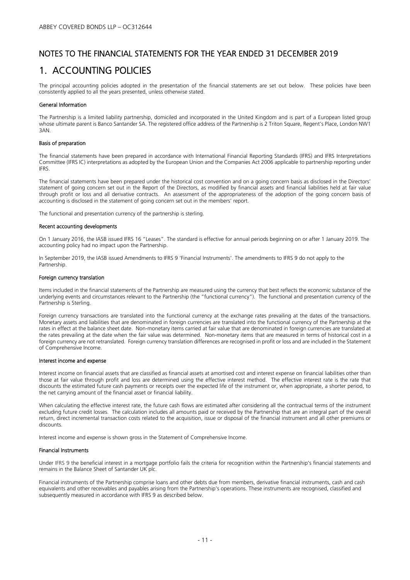### 1. ACCOUNTING POLICIES

The principal accounting policies adopted in the presentation of the financial statements are set out below. These policies have been consistently applied to all the years presented, unless otherwise stated.

#### General Information

The Partnership is a limited liability partnership, domiciled and incorporated in the United Kingdom and is part of a European listed group whose ultimate parent is Banco Santander SA. The registered office address of the Partnership is 2 Triton Square, Regent's Place, London NW1 3AN.

#### Basis of preparation

The financial statements have been prepared in accordance with International Financial Reporting Standards (IFRS) and IFRS Interpretations Committee (IFRS IC) interpretations as adopted by the European Union and the Companies Act 2006 applicable to partnership reporting under IFRS.

The financial statements have been prepared under the historical cost convention and on a going concern basis as disclosed in the Directors' statement of going concern set out in the Report of the Directors, as modified by financial assets and financial liabilities held at fair value through profit or loss and all derivative contracts. An assessment of the appropriateness of the adoption of the going concern basis of accounting is disclosed in the statement of going concern set out in the members' report.

The functional and presentation currency of the partnership is sterling.

#### Recent accounting developments

On 1 January 2016, the IASB issued IFRS 16 "Leases". The standard is effective for annual periods beginning on or after 1 January 2019. The accounting policy had no impact upon the Partnership.

In September 2019, the IASB issued Amendments to IFRS 9 'Financial Instruments'. The amendments to IFRS 9 do not apply to the Partnership.

#### Foreign currency translation

Items included in the financial statements of the Partnership are measured using the currency that best reflects the economic substance of the underlying events and circumstances relevant to the Partnership (the "functional currency"). The functional and presentation currency of the Partnership is Sterling.

Foreign currency transactions are translated into the functional currency at the exchange rates prevailing at the dates of the transactions. Monetary assets and liabilities that are denominated in foreign currencies are translated into the functional currency of the Partnership at the rates in effect at the balance sheet date. Non-monetary items carried at fair value that are denominated in foreign currencies are translated at the rates prevailing at the date when the fair value was determined. Non-monetary items that are measured in terms of historical cost in a foreign currency are not retranslated. Foreign currency translation differences are recognised in profit or loss and are included in the Statement of Comprehensive Income.

#### Interest income and expense

Interest income on financial assets that are classified as financial assets at amortised cost and interest expense on financial liabilities other than those at fair value through profit and loss are determined using the effective interest method. The effective interest rate is the rate that discounts the estimated future cash payments or receipts over the expected life of the instrument or, when appropriate, a shorter period, to the net carrying amount of the financial asset or financial liability.

When calculating the effective interest rate, the future cash flows are estimated after considering all the contractual terms of the instrument excluding future credit losses. The calculation includes all amounts paid or received by the Partnership that are an integral part of the overall return, direct incremental transaction costs related to the acquisition, issue or disposal of the financial instrument and all other premiums or discounts.

Interest income and expense is shown gross in the Statement of Comprehensive Income.

#### Financial Instruments

Under IFRS 9 the beneficial interest in a mortgage portfolio fails the criteria for recognition within the Partnership's financial statements and remains in the Balance Sheet of Santander UK plc.

Financial instruments of the Partnership comprise loans and other debts due from members, derivative financial instruments, cash and cash equivalents and other receivables and payables arising from the Partnership's operations. These instruments are recognised, classified and subsequently measured in accordance with IFRS 9 as described below.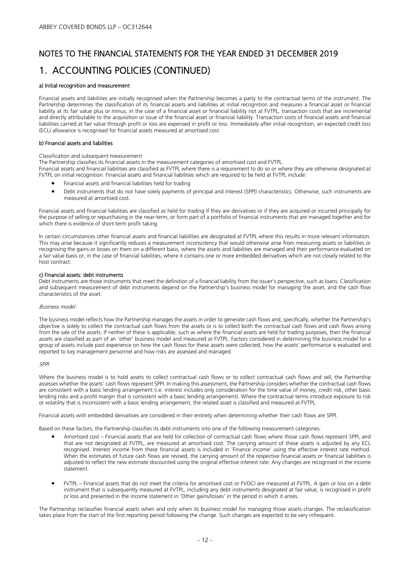### 1. ACCOUNTING POLICIES (CONTINUED)

#### a) Initial recognition and measurement

Financial assets and liabilities are initially recognised when the Partnership becomes a party to the contractual terms of the instrument. The Partnership determines the classification of its financial assets and liabilities at initial recognition and measures a financial asset or financial liability at its fair value plus or minus, in the case of a financial asset or financial liability not at FVTPL, transaction costs that are incremental and directly attributable to the acquisition or issue of the financial asset or financial liability. Transaction costs of financial assets and financial liabilities carried at fair value through profit or loss are expensed in profit or loss. Immediately after initial recognition, an expected credit loss (ECL) allowance is recognised for financial assets measured at amortised cost.

#### b) Financial assets and liabilities

#### Classification and subsequent measurement

The Partnership classifies its financial assets in the measurement categories of amortised cost and FVTPL.

Financial assets and financial liabilities are classified as FVTPL where there is a requirement to do so or where they are otherwise designated at FVTPL on initial recognition. Financial assets and financial liabilities which are required to be held at FVTPL include:

- Financial assets and financial liabilities held for trading
- Debt instruments that do not have solely payments of principal and interest (SPPI) characteristics. Otherwise, such instruments are measured at amortised cost.

Financial assets and financial liabilities are classified as held for trading if they are derivatives or if they are acquired or incurred principally for the purpose of selling or repurchasing in the near-term, or form part of a portfolio of financial instruments that are managed together and for which there is evidence of short-term profit taking.

In certain circumstances other financial assets and financial liabilities are designated at FVTPL where this results in more relevant information. This may arise because it significantly reduces a measurement inconsistency that would otherwise arise from measuring assets or liabilities or recognising the gains or losses on them on a different basis, where the assets and liabilities are managed and their performance evaluated on a fair value basis or, in the case of financial liabilities, where it contains one or more embedded derivatives which are not closely related to the host contract.

#### c) Financial assets: debt instruments

Debt instruments are those instruments that meet the definition of a financial liability from the issuer's perspective, such as loans. Classification and subsequent measurement of debt instruments depend on the Partnership's business model for managing the asset, and the cash flow characteristics of the asset.

#### Business model

The business model reflects how the Partnership manages the assets in order to generate cash flows and, specifically, whether the Partnership's objective is solely to collect the contractual cash flows from the assets or is to collect both the contractual cash flows and cash flows arising from the sale of the assets. If neither of these is applicable, such as where the financial assets are held for trading purposes, then the financial assets are classified as part of an 'other' business model and measured at FVTPL. Factors considered in determining the business model for a group of assets include past experience on how the cash flows for these assets were collected, how the assets' performance is evaluated and reported to key management personnel and how risks are assessed and managed.

#### SPPI

Where the business model is to hold assets to collect contractual cash flows or to collect contractual cash flows and sell, the Partnership assesses whether the assets' cash flows represent SPPI. In making this assessment, the Partnership considers whether the contractual cash flows are consistent with a basic lending arrangement (i.e. interest includes only consideration for the time value of money, credit risk, other basic lending risks and a profit margin that is consistent with a basic lending arrangement). Where the contractual terms introduce exposure to risk or volatility that is inconsistent with a basic lending arrangement, the related asset is classified and measured at FVTPL.

Financial assets with embedded derivatives are considered in their entirety when determining whether their cash flows are SPPI.

Based on these factors, the Partnership classifies its debt instruments into one of the following measurement categories:

- Amortised cost Financial assets that are held for collection of contractual cash flows where those cash flows represent SPPI, and that are not designated at FVTPL, are measured at amortised cost. The carrying amount of these assets is adjusted by any ECL recognised. Interest income from these financial assets is included in 'Finance income' using the effective interest rate method. When the estimates of future cash flows are revised, the carrying amount of the respective financial assets or financial liabilities is adjusted to reflect the new estimate discounted using the original effective interest rate. Any changes are recognised in the income statement.
- FVTPL Financial assets that do not meet the criteria for amortised cost or FVOCI are measured at FVTPL. A gain or loss on a debt instrument that is subsequently measured at FVTPL, including any debt instruments designated at fair value, is recognised in profit or loss and presented in the income statement in 'Other gains/losses' in the period in which it arises.

The Partnership reclassifies financial assets when and only when its business model for managing those assets changes. The reclassification takes place from the start of the first reporting period following the change. Such changes are expected to be very infrequent.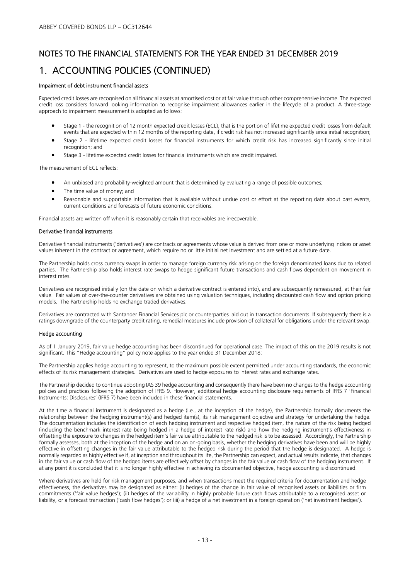# NOTES TO THE FINANCIAL STATEMENTS FOR THE YEAR ENDED 31 DECEMBER 2019 1. ACCOUNTING POLICIES (CONTINUED)

#### Impairment of debt instrument financial assets

Expected credit losses are recognised on all financial assets at amortised cost or at fair value through other comprehensive income. The expected credit loss considers forward looking information to recognise impairment allowances earlier in the lifecycle of a product. A three-stage approach to impairment measurement is adopted as follows:

- Stage 1 the recognition of 12 month expected credit losses (ECL), that is the portion of lifetime expected credit losses from default events that are expected within 12 months of the reporting date, if credit risk has not increased significantly since initial recognition;
- Stage 2 lifetime expected credit losses for financial instruments for which credit risk has increased significantly since initial recognition; and
- Stage 3 lifetime expected credit losses for financial instruments which are credit impaired.

The measurement of ECL reflects:

- An unbiased and probability-weighted amount that is determined by evaluating a range of possible outcomes;
- The time value of money; and
- Reasonable and supportable information that is available without undue cost or effort at the reporting date about past events, current conditions and forecasts of future economic conditions.

Financial assets are written off when it is reasonably certain that receivables are irrecoverable.

#### Derivative financial instruments

Derivative financial instruments ('derivatives') are contracts or agreements whose value is derived from one or more underlying indices or asset values inherent in the contract or agreement, which require no or little initial net investment and are settled at a future date.

The Partnership holds cross currency swaps in order to manage foreign currency risk arising on the foreign denominated loans due to related parties. The Partnership also holds interest rate swaps to hedge significant future transactions and cash flows dependent on movement in interest rates.

Derivatives are recognised initially (on the date on which a derivative contract is entered into), and are subsequently remeasured, at their fair value. Fair values of over-the-counter derivatives are obtained using valuation techniques, including discounted cash flow and option pricing models. The Partnership holds no exchange traded derivatives.

Derivatives are contracted with Santander Financial Services plc or counterparties laid out in transaction documents. If subsequently there is a ratings downgrade of the counterparty credit rating, remedial measures include provision of collateral for obligations under the relevant swap.

#### Hedge accounting

As of 1 January 2019, fair value hedge accounting has been discontinued for operational ease. The impact of this on the 2019 results is not significant. This "Hedge accounting" policy note applies to the year ended 31 December 2018:

The Partnership applies hedge accounting to represent, to the maximum possible extent permitted under accounting standards, the economic effects of its risk management strategies. Derivatives are used to hedge exposures to interest rates and exchange rates.

The Partnership decided to continue adopting IAS 39 hedge accounting and consequently there have been no changes to the hedge accounting policies and practices following the adoption of IFRS 9. However, additional hedge accounting disclosure requirements of IFRS 7 'Financial Instruments: Disclosures' (IFRS 7) have been included in these financial statements.

At the time a financial instrument is designated as a hedge (i.e., at the inception of the hedge), the Partnership formally documents the relationship between the hedging instrument(s) and hedged item(s), its risk management objective and strategy for undertaking the hedge. The documentation includes the identification of each hedging instrument and respective hedged item, the nature of the risk being hedged (including the benchmark interest rate being hedged in a hedge of interest rate risk) and how the hedging instrument's effectiveness in offsetting the exposure to changes in the hedged item's fair value attributable to the hedged risk is to be assessed. Accordingly, the Partnership formally assesses, both at the inception of the hedge and on an on-going basis, whether the hedging derivatives have been and will be highly effective in offsetting changes in the fair value attributable to the hedged risk during the period that the hedge is designated. A hedge is normally regarded as highly effective if, at inception and throughout its life, the Partnership can expect, and actual results indicate, that changes in the fair value or cash flow of the hedged items are effectively offset by changes in the fair value or cash flow of the hedging instrument. If at any point it is concluded that it is no longer highly effective in achieving its documented objective, hedge accounting is discontinued.

Where derivatives are held for risk management purposes, and when transactions meet the required criteria for documentation and hedge effectiveness, the derivatives may be designated as either: (i) hedges of the change in fair value of recognised assets or liabilities or firm commitments ('fair value hedges'); (ii) hedges of the variability in highly probable future cash flows attributable to a recognised asset or liability, or a forecast transaction ('cash flow hedges'); or (iii) a hedge of a net investment in a foreign operation ('net investment hedges').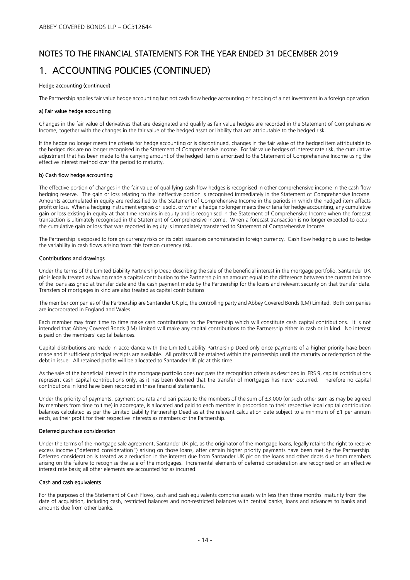# NOTES TO THE FINANCIAL STATEMENTS FOR THE YEAR ENDED 31 DECEMBER 2019 1. ACCOUNTING POLICIES (CONTINUED)

#### Hedge accounting (continued)

The Partnership applies fair value hedge accounting but not cash flow hedge accounting or hedging of a net investment in a foreign operation.

#### a) Fair value hedge accounting

Changes in the fair value of derivatives that are designated and qualify as fair value hedges are recorded in the Statement of Comprehensive Income, together with the changes in the fair value of the hedged asset or liability that are attributable to the hedged risk.

If the hedge no longer meets the criteria for hedge accounting or is discontinued, changes in the fair value of the hedged item attributable to the hedged risk are no longer recognised in the Statement of Comprehensive Income. For fair value hedges of interest rate risk, the cumulative adjustment that has been made to the carrying amount of the hedged item is amortised to the Statement of Comprehensive Income using the effective interest method over the period to maturity.

#### b) Cash flow hedge accounting

The effective portion of changes in the fair value of qualifying cash flow hedges is recognised in other comprehensive income in the cash flow hedging reserve. The gain or loss relating to the ineffective portion is recognised immediately in the Statement of Comprehensive Income. Amounts accumulated in equity are reclassified to the Statement of Comprehensive Income in the periods in which the hedged item affects profit or loss. When a hedging instrument expires or is sold, or when a hedge no longer meets the criteria for hedge accounting, any cumulative gain or loss existing in equity at that time remains in equity and is recognised in the Statement of Comprehensive Income when the forecast transaction is ultimately recognised in the Statement of Comprehensive Income. When a forecast transaction is no longer expected to occur, the cumulative gain or loss that was reported in equity is immediately transferred to Statement of Comprehensive Income.

The Partnership is exposed to foreign currency risks on its debt issuances denominated in foreign currency. Cash flow hedging is used to hedge the variability in cash flows arising from this foreign currency risk.

#### Contributions and drawings

Under the terms of the Limited Liability Partnership Deed describing the sale of the beneficial interest in the mortgage portfolio, Santander UK plc is legally treated as having made a capital contribution to the Partnership in an amount equal to the difference between the current balance of the loans assigned at transfer date and the cash payment made by the Partnership for the loans and relevant security on that transfer date. Transfers of mortgages in kind are also treated as capital contributions.

The member companies of the Partnership are Santander UK plc, the controlling party and Abbey Covered Bonds (LM) Limited. Both companies are incorporated in England and Wales.

Each member may from time to time make cash contributions to the Partnership which will constitute cash capital contributions. It is not intended that Abbey Covered Bonds (LM) Limited will make any capital contributions to the Partnership either in cash or in kind. No interest is paid on the members' capital balances.

Capital distributions are made in accordance with the Limited Liability Partnership Deed only once payments of a higher priority have been made and if sufficient principal receipts are available. All profits will be retained within the partnership until the maturity or redemption of the debt in issue. All retained profits will be allocated to Santander UK plc at this time.

As the sale of the beneficial interest in the mortgage portfolio does not pass the recognition criteria as described in IFRS 9, capital contributions represent cash capital contributions only, as it has been deemed that the transfer of mortgages has never occurred. Therefore no capital contributions in kind have been recorded in these financial statements.

Under the priority of payments, payment pro rata and pari passu to the members of the sum of £3,000 (or such other sum as may be agreed by members from time to time) in aggregate, is allocated and paid to each member in proportion to their respective legal capital contribution balances calculated as per the Limited Liability Partnership Deed as at the relevant calculation date subject to a minimum of £1 per annum each, as their profit for their respective interests as members of the Partnership.

#### Deferred purchase consideration

Under the terms of the mortgage sale agreement, Santander UK plc, as the originator of the mortgage loans, legally retains the right to receive excess income ("deferred consideration") arising on those loans, after certain higher priority payments have been met by the Partnership. Deferred consideration is treated as a reduction in the interest due from Santander UK plc on the loans and other debts due from members arising on the failure to recognise the sale of the mortgages. Incremental elements of deferred consideration are recognised on an effective interest rate basis; all other elements are accounted for as incurred.

#### Cash and cash equivalents

For the purposes of the Statement of Cash Flows, cash and cash equivalents comprise assets with less than three months' maturity from the date of acquisition, including cash, restricted balances and non-restricted balances with central banks, loans and advances to banks and amounts due from other banks.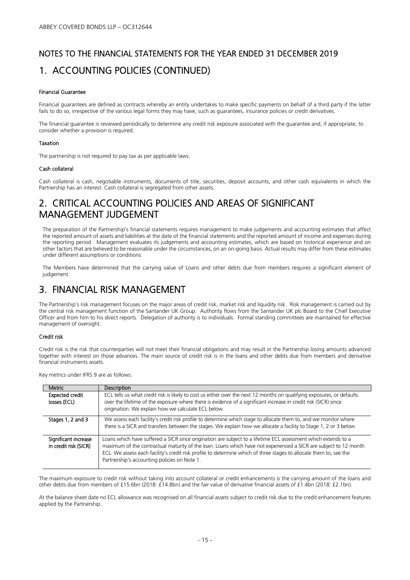# NOTES TO THE FINANCIAL STATEMENTS FOR THE YEAR ENDED 31 DECEMBER 2019 1. ACCOUNTING POLICIES (CONTINUED)

#### Financial Guarantee

Financial guarantees are defined as contracts whereby an entity undertakes to make specific payments on behalf of a third party if the latter fails to do so, irrespective of the various legal forms they may have, such as guarantees, insurance policies or credit derivatives.

The financial guarantee is reviewed periodically to determine any credit risk exposure associated with the guarantee and, if appropriate, to consider whether a provision is required.

#### Taxation

The partnership is not required to pay tax as per applicable laws.

#### Cash collateral

Cash collateral is cash, negotiable instruments, documents of title, securities, deposit accounts, and other cash equivalents in which the Partnership has an interest. Cash collateral is segregated from other assets.

### 2. CRITICAL ACCOUNTING POLICIES AND AREAS OF SIGNIFICANT MANAGEMENT JUDGEMENT

The preparation of the Partnership's financial statements requires management to make judgements and accounting estimates that affect the reported amount of assets and liabilities at the date of the financial statements and the reported amount of income and expenses during the reporting period. Management evaluates its judgements and accounting estimates, which are based on historical experience and on other factors that are believed to be reasonable under the circumstances, on an on-going basis. Actual results may differ from these estimates under different assumptions or conditions.

The Members have determined that the carrying value of Loans and other debts due from members requires a significant element of judgement.

### 3. FINANCIAL RISK MANAGEMENT

The Partnership's risk management focuses on the major areas of credit risk, market risk and liquidity risk. Risk management is carried out by the central risk management function of the Santander UK Group. Authority flows from the Santander UK plc Board to the Chief Executive Officer and from him to his direct reports. Delegation of authority is to individuals. Formal standing committees are maintained for effective management of oversight.

#### Credit risk

Credit risk is the risk that counterparties will not meet their financial obligations and may result in the Partnership losing amounts advanced together with interest on those advances. The main source of credit risk is in the loans and other debts due from members and derivative financial instruments assets.

Key metrics under IFRS 9 are as follows:

| Metric                                        | <b>Description</b>                                                                                                                                                                                                                                                                                                                                                                                       |
|-----------------------------------------------|----------------------------------------------------------------------------------------------------------------------------------------------------------------------------------------------------------------------------------------------------------------------------------------------------------------------------------------------------------------------------------------------------------|
| <b>Expected credit</b><br>losses (ECL)        | ECL tells us what credit risk is likely to cost us either over the next 12 months on qualifying exposures, or defaults<br>over the lifetime of the exposure where there is evidence of a significant increase in credit risk (SICR) since<br>origination. We explain how we calculate ECL below.                                                                                                         |
| Stages 1, 2 and 3                             | We assess each facility's credit risk profile to determine which stage to allocate them to, and we monitor where<br>there is a SICR and transfers between the stages. We explain how we allocate a facility to Stage 1, 2 or 3 below.                                                                                                                                                                    |
| Significant increase<br>in credit risk (SICR) | Loans which have suffered a SICR since origination are subject to a lifetime ECL assessment which extends to a<br>maximum of the contractual maturity of the loan. Loans which have not experienced a SICR are subject to 12 month<br>ECL. We assess each facility's credit risk profile to determine which of three stages to allocate them to, see the<br>Partnership's accounting policies on Note 1. |

The maximum exposure to credit risk without taking into account collateral or credit enhancements is the carrying amount of the loans and other debts due from members of £15.6bn (2018: £14.8bn) and the fair value of derivative financial assets of £1.4bn (2018: £2.1bn).

At the balance sheet date no ECL allowance was recognised on all financial assets subject to credit risk due to the credit enhancement features applied by the Partnership.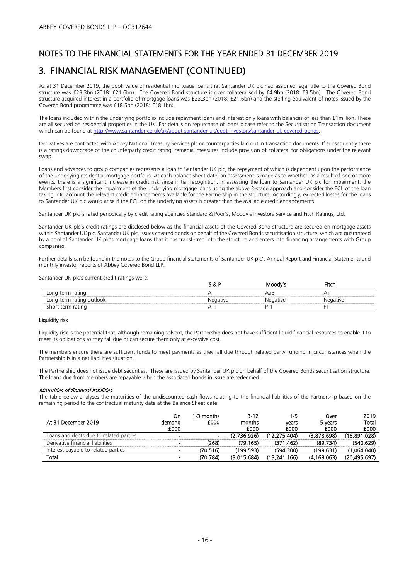### 3. FINANCIAL RISK MANAGEMENT (CONTINUED)

As at 31 December 2019, the book value of residential mortgage loans that Santander UK plc had assigned legal title to the Covered Bond structure was £23.3bn (2018: £21.6bn). The Covered Bond structure is over collateralised by £4.9bn (2018: £3.5bn). The Covered Bond structure acquired interest in a portfolio of mortgage loans was £23.3bn (2018: £21.6bn) and the sterling equivalent of notes issued by the Covered Bond programme was £18.5bn (2018: £18.1bn).

The loans included within the underlying portfolio include repayment loans and interest only loans with balances of less than £1million. These are all secured on residential properties in the UK. For details on repurchase of loans please refer to the Securitisation Transaction document which can be found at http://www.santander.co.uk/uk/about-santander-uk/debt-investors/santander-uk-covered-bonds.

Derivatives are contracted with Abbey National Treasury Services plc or counterparties laid out in transaction documents. If subsequently there is a ratings downgrade of the counterparty credit rating, remedial measures include provision of collateral for obligations under the relevant swap.

Loans and advances to group companies represents a loan to Santander UK plc, the repayment of which is dependent upon the performance of the underlying residential mortgage portfolio. At each balance sheet date, an assessment is made as to whether, as a result of one or more events, there is a significant increase in credit risk since initial recognition. In assessing the loan to Santander UK plc for impairment, the Members first consider the impairment of the underlying mortgage loans using the above 3-stage approach and consider the ECL of the loan taking into account the relevant credit enhancements available for the Partnership in the structure. Accordingly, expected losses for the loans to Santander UK plc would arise if the ECL on the underlying assets is greater than the available credit enhancements.

Santander UK plc is rated periodically by credit rating agencies Standard & Poor's, Moody's Investors Service and Fitch Ratings, Ltd.

Santander UK plc's credit ratings are disclosed below as the financial assets of the Covered Bond structure are secured on mortgage assets within Santander UK plc. Santander UK plc, issues covered bonds on behalf of the Covered Bonds securitisation structure, which are guaranteed by a pool of Santander UK plc's mortgage loans that it has transferred into the structure and enters into financing arrangements with Group companies.

Further details can be found in the notes to the Group financial statements of Santander UK plc's Annual Report and Financial Statements and monthly investor reports of Abbey Covered Bond LLP.

Santander UK plc's current credit ratings were:

|                        | . CH | Moodv" | 'itch |
|------------------------|------|--------|-------|
| ratind<br>. onc<br>LV. |      |        |       |
| rating outlook<br>└    |      |        | tive  |
| ratinc                 |      |        |       |

#### Liquidity risk

Liquidity risk is the potential that, although remaining solvent, the Partnership does not have sufficient liquid financial resources to enable it to meet its obligations as they fall due or can secure them only at excessive cost.

The members ensure there are sufficient funds to meet payments as they fall due through related party funding in circumstances when the Partnership is in a net liabilities situation.

The Partnership does not issue debt securities. These are issued by Santander UK plc on behalf of the Covered Bonds securitisation structure. The loans due from members are repayable when the associated bonds in issue are redeemed.

#### Maturities of financial liabilities

The table below analyses the maturities of the undiscounted cash flows relating to the financial liabilities of the Partnership based on the remaining period to the contractual maturity date at the Balance Sheet date.

| At 31 December 2019                    | On<br>demand<br>£000     | 1-3 months<br>£000 | $3 - 12$<br>months<br>£000 | 1-5<br>vears<br>£000 | Over<br>5 years<br>£000 | 2019<br>Total<br>£000 |
|----------------------------------------|--------------------------|--------------------|----------------------------|----------------------|-------------------------|-----------------------|
| Loans and debts due to related parties | $\overline{\phantom{0}}$ |                    | (2.736.926)                | (12.275.404)         | (3.878.698)             | (18.891.028)          |
| Derivative financial liabilities       | $\sim$                   | (268)              | (79.165)                   | (371.462)            | (89.734)                | (540.629)             |
| Interest payable to related parties    | $\blacksquare$           | (70.516)           | (199.593)                  | (594.300)            | (199.631)               | (1.064.040)           |
| Total                                  | $\overline{\phantom{0}}$ | (70.784)           | (3.015.684)                | (13.241.166)         | (4.168.063)             | (20, 495, 697)        |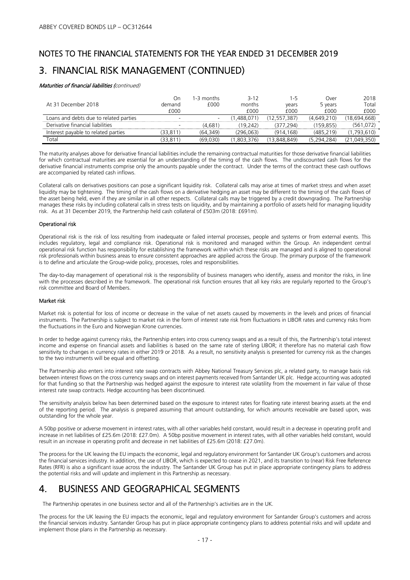# NOTES TO THE FINANCIAL STATEMENTS FOR THE YEAR ENDED 31 DECEMBER 2019 3. FINANCIAL RISK MANAGEMENT (CONTINUED)

#### Maturities of financial liabilities (continued)

| At 31 December 2018                    | On.<br>demand<br>f000    | 1-3 months<br>£000       | $3 - 12$<br>months<br>f000 | 1-5<br>vears<br>f000 | Over<br>5 vears<br>£000 | 2018<br>Total<br>£000 |
|----------------------------------------|--------------------------|--------------------------|----------------------------|----------------------|-------------------------|-----------------------|
| Loans and debts due to related parties | <b>.</b>                 | $\overline{\phantom{a}}$ | .488.071                   | (12.557.387)         | (4.649.210)             | (18.694.668)          |
| Derivative financial liabilities       | $\overline{\phantom{a}}$ | (4.681                   | 19 242                     | (377.294)            | (159.855)               | (561.072)             |
| Interest payable to related parties    | (33.811)                 | (64.349)                 | (296.063)                  | (914.168)            | (485.219)               | ,793,610)             |
| $\mathsf{Total}$                       | 33.811                   | (69.030)                 | .803.376                   | 13.848.849)          | (5 294 284)             | 350)<br>(21.049.      |

The maturity analyses above for derivative financial liabilities include the remaining contractual maturities for those derivative financial liabilities for which contractual maturities are essential for an understanding of the timing of the cash flows. The undiscounted cash flows for the derivative financial instruments comprise only the amounts payable under the contract. Under the terms of the contract these cash outflows are accompanied by related cash inflows.

Collateral calls on derivatives positions can pose a significant liquidity risk. Collateral calls may arise at times of market stress and when asset liquidity may be tightening. The timing of the cash flows on a derivative hedging an asset may be different to the timing of the cash flows of the asset being held, even if they are similar in all other respects. Collateral calls may be triggered by a credit downgrading. The Partnership manages these risks by including collateral calls in stress tests on liquidity, and by maintaining a portfolio of assets held for managing liquidity risk. As at 31 December 2019, the Partnership held cash collateral of £503m (2018: £691m).

#### Operational risk

Operational risk is the risk of loss resulting from inadequate or failed internal processes, people and systems or from external events. This includes regulatory, legal and compliance risk. Operational risk is monitored and managed within the Group. An independent central operational risk function has responsibility for establishing the framework within which these risks are managed and is aligned to operational risk professionals within business areas to ensure consistent approaches are applied across the Group. The primary purpose of the framework is to define and articulate the Group-wide policy, processes, roles and responsibilities.

The day-to-day management of operational risk is the responsibility of business managers who identify, assess and monitor the risks, in line with the processes described in the framework. The operational risk function ensures that all key risks are regularly reported to the Group's risk committee and Board of Members.

#### Market risk

Market risk is potential for loss of income or decrease in the value of net assets caused by movements in the levels and prices of financial instruments. The Partnership is subject to market risk in the form of interest rate risk from fluctuations in LIBOR rates and currency risks from the fluctuations in the Euro and Norwegian Krone currencies.

In order to hedge against currency risks, the Partnership enters into cross currency swaps and as a result of this, the Partnership's total interest income and expense on financial assets and liabilities is based on the same rate of sterling LIBOR; it therefore has no material cash flow sensitivity to changes in currency rates in either 2019 or 2018. As a result, no sensitivity analysis is presented for currency risk as the changes to the two instruments will be equal and offsetting.

The Partnership also enters into interest rate swap contracts with Abbey National Treasury Services plc, a related party, to manage basis risk between interest flows on the cross currency swaps and on interest payments received from Santander UK plc. Hedge accounting was adopted for that funding so that the Partnership was hedged against the exposure to interest rate volatility from the movement in fair value of those interest rate swap contracts. Hedge accounting has been discontinued.

The sensitivity analysis below has been determined based on the exposure to interest rates for floating rate interest bearing assets at the end of the reporting period. The analysis is prepared assuming that amount outstanding, for which amounts receivable are based upon, was outstanding for the whole year.

A 50bp positive or adverse movement in interest rates, with all other variables held constant, would result in a decrease in operating profit and increase in net liabilities of £25.6m (2018: £27.0m). A 50bp positive movement in interest rates, with all other variables held constant, would result in an increase in operating profit and decrease in net liabilities of £25.6m (2018: £27.0m).

The process for the UK leaving the EU impacts the economic, legal and regulatory environment for Santander UK Group's customers and across the financial services industry. In addition, the use of LIBOR, which is expected to cease in 2021, and its transition to (near) Risk Free Reference Rates (RFR) is also a significant issue across the industry. The Santander UK Group has put in place appropriate contingency plans to address the potential risks and will update and implement in this Partnership as necessary.

### 4. BUSINESS AND GEOGRAPHICAL SEGMENTS

The Partnership operates in one business sector and all of the Partnership's activities are in the UK.

The process for the UK leaving the EU impacts the economic, legal and regulatory environment for Santander Group's customers and across the financial services industry. Santander Group has put in place appropriate contingency plans to address potential risks and will update and implement those plans in the Partnership as necessary.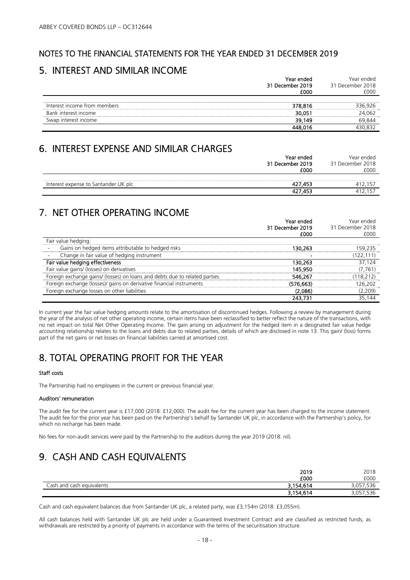### 5. INTEREST AND SIMILAR INCOME

|                              | Year ended<br>31 December 2019<br>E000 | Year ended.<br>31 December 2018<br>000 |
|------------------------------|----------------------------------------|----------------------------------------|
| Interest income from members | 378.816                                | 336 926                                |
| Bank interest income         | 30.05                                  | กธว                                    |
| Swap interest income         | 39.149                                 |                                        |
|                              |                                        |                                        |

### 6. INTEREST EXPENSE AND SIMILAR CHARGES

|                                      | Year ended       |                    |
|--------------------------------------|------------------|--------------------|
|                                      | 31 December 2019 | 31 December 2018   |
|                                      | £000             | £000               |
|                                      |                  |                    |
| Interest expense to Santander UK plc | 427.453          | .157               |
|                                      | 427,453          | .157<br>$41^\circ$ |

## 7. NET OTHER OPERATING INCOME

|                                                                            | Year ended<br>31 December 2019 | Year ended<br>31 December 2018 |
|----------------------------------------------------------------------------|--------------------------------|--------------------------------|
|                                                                            | £000                           | £000                           |
| Fair value hedging:                                                        |                                |                                |
| Gains on hedged items attributable to hedged risks                         | 30.263                         |                                |
| Change in fair value of hedging instrument                                 |                                | (122,111)                      |
| Fair value hedging effectiveness                                           | 130.263                        | 37.124                         |
| Fair value gains/ (losses) on derivatives                                  | 145.950                        | 7.761                          |
| Foreign exchange gains/ (losses) on loans and debts due to related parties | 546.267                        | 18.212)                        |
| Foreign exchange (losses)/ gains on derivative financial instruments       | (576,663)                      | 26.202                         |
| Foreign exchange losses on other liabilities                               | (2.086)                        | .2091                          |
|                                                                            |                                |                                |

In current year the fair value hedging amounts relate to the amortisation of discontinued hedges. Following a review by management during the year of the analysis of net other operating income, certain items have been reclassified to better reflect the nature of the transactions, with no net impact on total Net Other Operating Income. The gain arising on adjustment for the hedged item in a designated fair value hedge accounting relationship relates to the loans and debts due to related parties, details of which are disclosed in note 13. This gain/ (loss) forms part of the net gains or net losses on financial liabilities carried at amortised cost.

# 8. TOTAL OPERATING PROFIT FOR THE YEAR

#### Staff costs

The Partnership had no employees in the current or previous financial year.

#### Auditors' remuneration

The audit fee for the current year is £17,000 (2018: £12,000). The audit fee for the current year has been charged to the income statement. The audit fee for the prior year has been paid on the Partnership's behalf by Santander UK plc, in accordance with the Partnership's policy, for which no recharge has been made.

No fees for non-audit services were paid by the Partnership to the auditors during the year 2019 (2018: nil).

# 9. CASH AND CASH EQUIVALENTS

|                           | 2019      | 2018                |
|---------------------------|-----------|---------------------|
|                           | £000      | £000                |
| Cash and cash equivalents | 3,154,614 | − ∩⊏ ⁄<br>3,US7,330 |
|                           | 3 154 614 | סככ.<br>י כט, כ     |

Cash and cash equivalent balances due from Santander UK plc, a related party, was £3,154m (2018: £3,055m).

All cash balances held with Santander UK plc are held under a Guaranteed Investment Contract and are classified as restricted funds, as withdrawals are restricted by a priority of payments in accordance with the terms of the securitisation structure.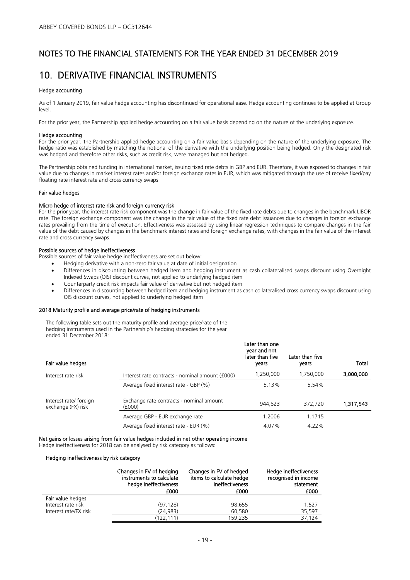### 10. DERIVATIVE FINANCIAL INSTRUMENTS

#### Hedge accounting

As of 1 January 2019, fair value hedge accounting has discontinued for operational ease. Hedge accounting continues to be applied at Group level.

For the prior year, the Partnership applied hedge accounting on a fair value basis depending on the nature of the underlying exposure.

#### Hedge accounting

For the prior year, the Partnership applied hedge accounting on a fair value basis depending on the nature of the underlying exposure. The hedge ratio was established by matching the notional of the derivative with the underlying position being hedged. Only the designated risk was hedged and therefore other risks, such as credit risk, were managed but not hedged.

The Partnership obtained funding in international market, issuing fixed rate debts in GBP and EUR. Therefore, it was exposed to changes in fair value due to changes in market interest rates and/or foreign exchange rates in EUR, which was mitigated through the use of receive fixed/pay floating rate interest rate and cross currency swaps.

#### Fair value hedges

#### Micro hedge of interest rate risk and foreign currency risk

For the prior year, the interest rate risk component was the change in fair value of the fixed rate debts due to changes in the benchmark LIBOR rate. The foreign exchange component was the change in the fair value of the fixed rate debt issuances due to changes in foreign exchange rates prevailing from the time of execution. Effectiveness was assessed by using linear regression techniques to compare changes in the fair value of the debt caused by changes in the benchmark interest rates and foreign exchange rates, with changes in the fair value of the interest rate and cross currency swaps.

#### Possible sources of hedge ineffectiveness

Possible sources of fair value hedge ineffectiveness are set out below:

- Hedging derivative with a non-zero fair value at date of initial designation
- Differences in discounting between hedged item and hedging instrument as cash collateralised swaps discount using Overnight Indexed Swaps (OIS) discount curves, not applied to underlying hedged item
- Counterparty credit risk impacts fair value of derivative but not hedged item
- Differences in discounting between hedged item and hedging instrument as cash collateralised cross currency swaps discount using OIS discount curves, not applied to underlying hedged item

#### 2018 Maturity profile and average price/rate of hedging instruments

The following table sets out the maturity profile and average price/rate of the hedging instruments used in the Partnership's hedging strategies for the year ended 31 December 2018:

| Fair value hedges                            |                                                    | Later than one<br>year and not<br>later than five<br>years | Later than five<br>years | Total     |
|----------------------------------------------|----------------------------------------------------|------------------------------------------------------------|--------------------------|-----------|
| Interest rate risk                           | Interest rate contracts - nominal amount (£000)    | 1,250,000                                                  | 1,750,000                | 3,000,000 |
|                                              | Average fixed interest rate - GBP (%)              | 5.13%                                                      | 5.54%                    |           |
| Interest rate/ foreign<br>exchange (FX) risk | Exchange rate contracts - nominal amount<br>(£000) | 944.823                                                    | 372.720                  | 1,317,543 |
|                                              | Average GBP - EUR exchange rate                    | 1.2006                                                     | 1.1715                   |           |
|                                              | Average fixed interest rate - EUR (%)              | 4.07%                                                      | 4.22%                    |           |

#### Net gains or losses arising from fair value hedges included in net other operating income

Hedge ineffectiveness for 2018 can be analysed by risk category as follows:

#### Hedging ineffectiveness by risk category

|                       | Changes in FV of hedging<br>instruments to calculate<br>hedge ineffectiveness<br>£000 | Changes in FV of hedged<br>items to calculate hedge<br>ineffectiveness<br>£000 | Hedge ineffectiveness<br>recognised in income<br>statement<br>£000 |
|-----------------------|---------------------------------------------------------------------------------------|--------------------------------------------------------------------------------|--------------------------------------------------------------------|
| Fair value hedges     |                                                                                       |                                                                                |                                                                    |
| Interest rate risk    | (97, 128)                                                                             | 98,655                                                                         | 1.527                                                              |
| Interest rate/FX risk | (24.983)                                                                              | 60.580                                                                         | 35.597                                                             |
|                       | (122,111)                                                                             | 159,235                                                                        | 37.124                                                             |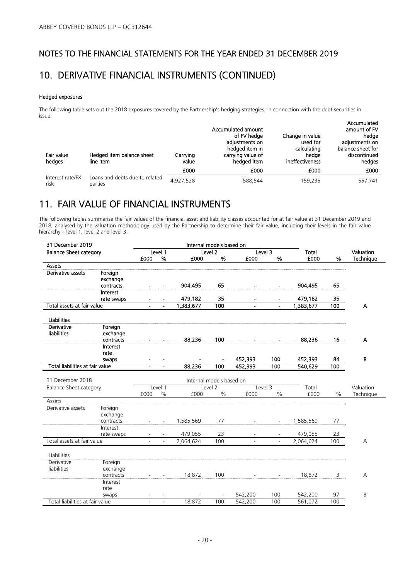### 10. DERIVATIVE FINANCIAL INSTRUMENTS (CONTINUED)

#### Hedged exposures

The following table sets out the 2018 exposures covered by the Partnership's hedging strategies, in connection with the debt securities in issue:

| Fair value<br>hedges | Hedged item balance sheet<br>line item | Carrying<br>value<br>£000 | Accumulated amount<br>of FV hedge<br>adiustments on<br>hedged item in<br>carrying value of<br>hedged item<br>£000 | Change in value<br>used for<br>calculating<br>hedge<br>ineffectiveness<br>£000 | Accumulated<br>amount of FV<br>hedge<br>adiustments on<br>balance sheet for<br>discontinued<br>hedges<br>£000 |
|----------------------|----------------------------------------|---------------------------|-------------------------------------------------------------------------------------------------------------------|--------------------------------------------------------------------------------|---------------------------------------------------------------------------------------------------------------|
| Interest rate/FX     | Loans and debts due to related         |                           |                                                                                                                   |                                                                                |                                                                                                               |
| risk                 | parties                                | 4,927,528                 | 588,544                                                                                                           | 159,235                                                                        | 557,741                                                                                                       |

# 11. FAIR VALUE OF FINANCIAL INSTRUMENTS

The following tables summarise the fair values of the financial asset and liability classes accounted for at fair value at 31 December 2019 and 2018, analysed by the valuation methodology used by the Partnership to determine their fair value, including their levels in the fair value hierarchy – level 1, level 2 and level 3.

| 31 December 2019                |            |                          |                          | Internal models based on |                    |                |                          |           |               |                  |
|---------------------------------|------------|--------------------------|--------------------------|--------------------------|--------------------|----------------|--------------------------|-----------|---------------|------------------|
| <b>Balance Sheet category</b>   |            |                          | Level 1                  |                          | Level <sub>2</sub> | Level 3        |                          | Total     |               | Valuation        |
|                                 |            | £000                     | %                        | £000                     | %                  | £000           | %                        | £000      | %             | <b>Technique</b> |
| <b>Assets</b>                   |            |                          |                          |                          |                    |                |                          |           |               |                  |
| Derivative assets               | Foreign    |                          |                          |                          |                    |                |                          |           |               |                  |
|                                 | exchange   |                          |                          |                          |                    |                |                          |           |               |                  |
|                                 | contracts  |                          |                          | 904,495                  | 65                 | $\blacksquare$ | $\blacksquare$           | 904,495   | 65            |                  |
|                                 | Interest   |                          |                          |                          |                    |                |                          |           |               |                  |
|                                 | rate swaps |                          |                          | 479,182                  | 35                 |                |                          | 479,182   | 35            |                  |
| Total assets at fair value      |            |                          |                          | 1,383,677                | 100                | $\blacksquare$ | $\blacksquare$           | 1,383,677 | 100           | A                |
| <b>Liabilities</b>              |            |                          |                          |                          |                    |                |                          |           |               |                  |
| Derivative                      | Foreign    |                          |                          |                          |                    |                |                          |           |               |                  |
| <b>liabilities</b>              | exchange   |                          |                          |                          |                    |                |                          |           |               |                  |
|                                 | contracts  |                          |                          | 88,236                   | 100                |                |                          | 88,236    | 16            | A                |
|                                 | Interest   |                          |                          |                          |                    |                |                          |           |               |                  |
|                                 | rate       |                          |                          |                          |                    |                |                          |           |               |                  |
|                                 | swaps      |                          | $\blacksquare$           |                          | $\blacksquare$     | 452,393        | 100                      | 452,393   | 84            | B                |
| Total liabilities at fair value |            |                          | $\blacksquare$           | 88.236                   | 100                | 452,393        | 100                      | 540,629   | 100           |                  |
|                                 |            |                          |                          |                          |                    |                |                          |           |               |                  |
| 31 December 2018                |            |                          |                          | Internal models based on |                    |                |                          |           |               |                  |
| <b>Balance Sheet category</b>   |            |                          | Level 1                  |                          | Level 2            | Level 3        |                          | Total     |               | Valuation        |
|                                 |            | £000                     | $\%$                     | £000                     | $\%$               | £000           | $\%$                     | £000      | $\frac{0}{0}$ | Technique        |
| Assets                          |            |                          |                          |                          |                    |                |                          |           |               |                  |
| Derivative assets               | Foreign    |                          |                          |                          |                    |                |                          |           |               |                  |
|                                 | exchange   |                          |                          |                          |                    |                |                          |           |               |                  |
|                                 | contracts  |                          |                          | 1,585,569                | 77                 |                |                          | 1,585,569 | 77            |                  |
|                                 | Interest   |                          |                          |                          |                    |                |                          |           |               |                  |
|                                 | rate swaps |                          |                          | 479,055                  | 23                 |                |                          | 479,055   | 23            |                  |
| Total assets at fair value      |            |                          | $\sim$                   | 2,064,624                | 100                |                | $\overline{\phantom{a}}$ | 2,064,624 | 100           | А                |
| Liabilities                     |            |                          |                          |                          |                    |                |                          |           |               |                  |
| Derivative                      | Foreign    |                          |                          |                          |                    |                |                          |           |               |                  |
| liabilities                     | exchange   |                          |                          |                          |                    |                |                          |           |               |                  |
|                                 | contracts  | $\overline{\phantom{a}}$ | $\overline{\phantom{a}}$ | 18,872                   | 100                |                | $\overline{\phantom{a}}$ | 18,872    | 3             | A                |
|                                 | Interest   |                          |                          |                          |                    |                |                          |           |               |                  |
|                                 | rate       |                          |                          |                          |                    |                |                          |           |               |                  |
|                                 | swaps      |                          |                          |                          |                    | 542,200        | 100                      | 542,200   | 97            | B                |
| Total liabilities at fair value |            |                          | $\overline{a}$           | 18.872                   | 100                | 542,200        | 100                      | 561,072   | 100           |                  |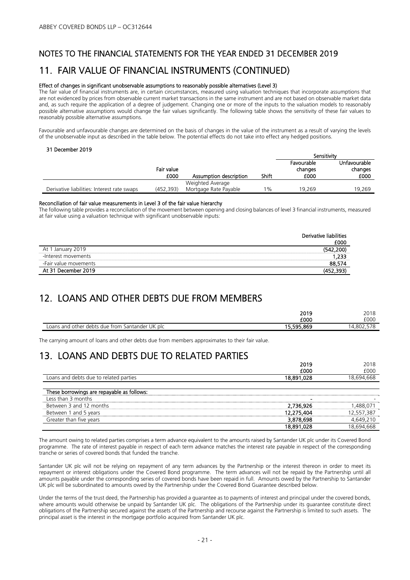### 11. FAIR VALUE OF FINANCIAL INSTRUMENTS (CONTINUED)

#### Effect of changes in significant unobservable assumptions to reasonably possible alternatives (Level 3)

The fair value of financial instruments are, in certain circumstances, measured using valuation techniques that incorporate assumptions that are not evidenced by prices from observable current market transactions in the same instrument and are not based on observable market data and, as such require the application of a degree of judgement. Changing one or more of the inputs to the valuation models to reasonably possible alternative assumptions would change the fair values significantly. The following table shows the sensitivity of these fair values to reasonably possible alternative assumptions.

Favourable and unfavourable changes are determined on the basis of changes in the value of the instrument as a result of varying the levels of the unobservable input as described in the table below. The potential effects do not take into effect any hedged positions.

#### 31 December 2019

|                                             |                    |                        |       | Sensitivity                   |                                 |
|---------------------------------------------|--------------------|------------------------|-------|-------------------------------|---------------------------------|
|                                             | Fair value<br>£000 | Assumption description | Shift | Favourable<br>changes<br>£000 | Unfavourable<br>changes<br>£000 |
|                                             |                    | Weighted Average       |       |                               |                                 |
| Derivative liabilities: Interest rate swaps | (452, 393)         | Mortgage Rate Payable  | $1\%$ | 19.269                        | 19.269                          |

#### Reconciliation of fair value measurements in Level 3 of the fair value hierarchy

The following table provides a reconciliation of the movement between opening and closing balances of level 3 financial instruments, measured at fair value using a valuation technique with significant unobservable inputs:

|                       | Derivative liabilities |
|-----------------------|------------------------|
|                       | £000                   |
| At 1 January 2019     | (542.200)              |
| -Interest movements   | .233                   |
| -Fair value movements | 88.574                 |
| At 31 December 2019   |                        |

### 12. LOANS AND OTHER DEBTS DUE FROM MEMBERS

|                                                           | 2019       | 2018       |
|-----------------------------------------------------------|------------|------------|
|                                                           | £000       | £000       |
| Santander UK plc<br>u other debts due from '<br>Loans and | 15,595,869 | 14.802.578 |

The carrying amount of loans and other debts due from members approximates to their fair value.

# 13. LOANS AND DEBTS DUE TO RELATED PARTIES

|                                            | 2019       | 2018       |
|--------------------------------------------|------------|------------|
|                                            | £000       | £000       |
| Loans and debts due to related parties     | 18,891,028 | 18.694.668 |
|                                            |            |            |
| These borrowings are repayable as follows: |            |            |
| l ess than 3 months                        |            |            |
| Between 3 and 12 months                    | 2,736,926  |            |
| Between 1 and 5 years                      | 12,275,404 | 12,557,387 |
| Greater than five years                    | 3,878,698  | 4.649.210  |
|                                            | 18,891,028 |            |

The amount owing to related parties comprises a term advance equivalent to the amounts raised by Santander UK plc under its Covered Bond programme. The rate of interest payable in respect of each term advance matches the interest rate payable in respect of the corresponding tranche or series of covered bonds that funded the tranche.

Santander UK plc will not be relying on repayment of any term advances by the Partnership or the interest thereon in order to meet its repayment or interest obligations under the Covered Bond programme. The term advances will not be repaid by the Partnership until all amounts payable under the corresponding series of covered bonds have been repaid in full. Amounts owed by the Partnership to Santander UK plc will be subordinated to amounts owed by the Partnership under the Covered Bond Guarantee described below.

Under the terms of the trust deed, the Partnership has provided a guarantee as to payments of interest and principal under the covered bonds, where amounts would otherwise be unpaid by Santander UK plc. The obligations of the Partnership under its guarantee constitute direct obligations of the Partnership secured against the assets of the Partnership and recourse against the Partnership is limited to such assets. The principal asset is the interest in the mortgage portfolio acquired from Santander UK plc.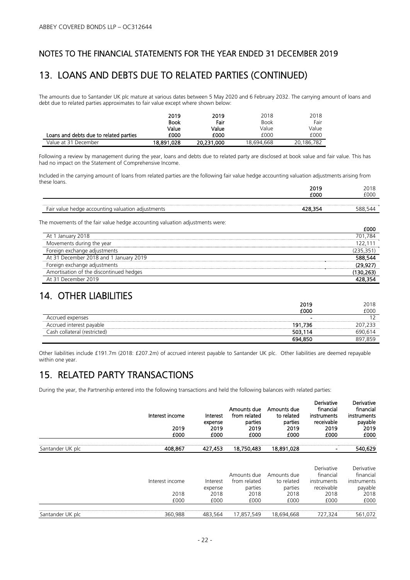### 13. LOANS AND DEBTS DUE TO RELATED PARTIES (CONTINUED)

The amounts due to Santander UK plc mature at various dates between 5 May 2020 and 6 February 2032. The carrying amount of loans and debt due to related parties approximates to fair value except where shown below:

|                                        | 2019        | 2019       | 2018        | 2018       |
|----------------------------------------|-------------|------------|-------------|------------|
|                                        | <b>Book</b> | Fair       | <b>Book</b> | Fair       |
|                                        | Value       | Value      | Value       | Value      |
| Loans and debts due to related parties | £000        | £000       | £000        | £000       |
| Value at 31 December                   | 18.891.028  | 20,231,000 | 18,694,668  | 20.186.782 |

Following a review by management during the year, loans and debts due to related party are disclosed at book value and fair value. This has had no impact on the Statement of Comprehensive Income.

Included in the carrying amount of loans from related parties are the following fair value hedge accounting valuation adjustments arising from these loans.  $2010$ 

|                                                                   | <b>2010</b> |               |
|-------------------------------------------------------------------|-------------|---------------|
|                                                                   | E000        | $\cap$<br>JUL |
|                                                                   |             |               |
| $h \circ \sim$<br>anh.<br>valı<br>-ai<br>tion<br>adiu<br>u valuci |             |               |

The movements of the fair value hedge accounting valuation adjustments were:

| At 1 January 2018                       | 701.784 |
|-----------------------------------------|---------|
| Movements during the year               |         |
| Foreign exchange adjustments            |         |
| At 31 December 2018 and 1 January 2019  | 588.544 |
| Foreign exchange adjustments            | 29.92   |
| Amortisation of the discontinued hedges |         |
| At 31 December 2019                     |         |

## 14. OTHER LIABILITIES

|                              | 2019                     | 2018    |
|------------------------------|--------------------------|---------|
|                              | £000                     | £000    |
| Accrued expenses             | $\overline{\phantom{a}}$ |         |
| Accrued interest payable     | 191,736                  | 207.233 |
| Cash collateral (restricted) | 503,114                  | 690.614 |
|                              | 694.850                  | 897.859 |

Other liabilities include £191.7m (2018: £207.2m) of accrued interest payable to Santander UK plc. Other liabilities are deemed repayable within one year.

# 15. RELATED PARTY TRANSACTIONS

During the year, the Partnership entered into the following transactions and held the following balances with related parties:

| Interest income<br>2019 | Interest<br>expense<br>2019     | Amounts due<br>from related<br>parties<br>2019 | Amounts due<br>to related<br>parties<br>2019   | financial<br>instruments<br>receivable<br>2019       | Derivative<br>financial<br>instruments<br>payable<br>2019<br>£000          |
|-------------------------|---------------------------------|------------------------------------------------|------------------------------------------------|------------------------------------------------------|----------------------------------------------------------------------------|
| 408,867                 | 427,453                         | 18,750,483                                     | 18,891,028                                     |                                                      | 540,629                                                                    |
|                         |                                 |                                                |                                                |                                                      |                                                                            |
|                         |                                 |                                                |                                                |                                                      | Derivative<br>financial                                                    |
|                         |                                 |                                                |                                                |                                                      | instruments                                                                |
|                         |                                 |                                                |                                                |                                                      | payable                                                                    |
|                         | 2018                            | 2018                                           |                                                | 2018                                                 | 2018                                                                       |
| £000                    | £000                            | £000                                           | £000                                           | £000                                                 | £000                                                                       |
| 360,988                 | 483,564                         | 17,857,549                                     | 18,694,668                                     | 727,324                                              | 561,072                                                                    |
|                         | £000<br>Interest income<br>2018 | £000<br>Interest<br>expense                    | £000<br>Amounts due<br>from related<br>parties | £000<br>Amounts due<br>to related<br>parties<br>2018 | Derivative<br>£000<br>Derivative<br>financial<br>instruments<br>receivable |